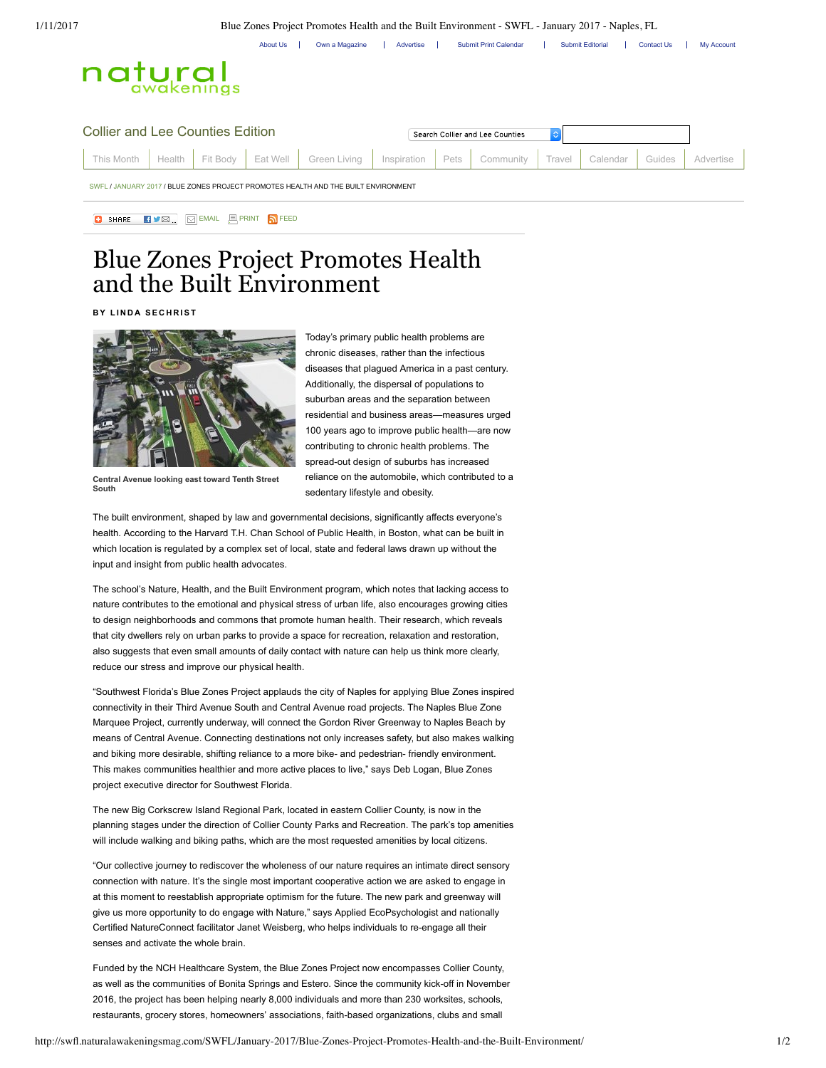1/11/2017 Blue Zones Project Promotes Health and the Built Environment - SWFL - January 2017 - Naples, FL

About Us | Own a Magazine | Advertise | Submit Print Calendar | Submit Editorial | Contact Us | My Account



| Collier and Lee Counties Edition                                                   |  |  |  |  |                                                                                                               | Search Collier and Lee Counties |  |  |  |  |        |  |
|------------------------------------------------------------------------------------|--|--|--|--|---------------------------------------------------------------------------------------------------------------|---------------------------------|--|--|--|--|--------|--|
|                                                                                    |  |  |  |  | This Month   Health   Fit Body   Eat Well   Green Living   Inspiration   Pets   Community   Travel   Calendar |                                 |  |  |  |  | Guides |  |
| SWEL / JANUARY 2017 / BLUE ZONES PROJECT PROMOTES HEALTH AND THE BUILT ENVIRONMENT |  |  |  |  |                                                                                                               |                                 |  |  |  |  |        |  |

## **B** SHARE **EVER EMAIL EPRINT SEED**

## Blue Zones Project Promotes Health and the Built Environment

**B Y L I N D A SE C H R IST**



Today's primary public health problems are chronic diseases, rather than the infectious diseases that plagued America in a past century. Additionally, the dispersal of populations to suburban areas and the separation between residential and business areas—measures urged 100 years ago to improve public health—are now contributing to chronic health problems. The spread-out design of suburbs has increased reliance on the automobile, which contributed to a sedentary lifestyle and obesity.

**Central Avenue looking east toward Tenth Street South**

The built environment, shaped by law and governmental decisions, significantly affects everyone's health. According to the Harvard T.H. Chan School of Public Health, in Boston, what can be built in which location is regulated by a complex set of local, state and federal laws drawn up without the input and insight from public health advocates.

The school's Nature, Health, and the Built Environment program, which notes that lacking access to nature contributes to the emotional and physical stress of urban life, also encourages growing cities to design neighborhoods and commons that promote human health. Their research, which reveals that city dwellers rely on urban parks to provide a space for recreation, relaxation and restoration, also suggests that even small amounts of daily contact with nature can help us think more clearly, reduce our stress and improve our physical health.

"Southwest Florida's Blue Zones Project applauds the city of Naples for applying Blue Zones inspired connectivity in their Third Avenue South and Central Avenue road projects. The Naples Blue Zone Marquee Project, currently underway, will connect the Gordon River Greenway to Naples Beach by means of Central Avenue. Connecting destinations not only increases safety, but also makes walking and biking more desirable, shifting reliance to a more bike- and pedestrian- friendly environment. This makes communities healthier and more active places to live," says Deb Logan, Blue Zones project executive director for Southwest Florida.

The new Big Corkscrew Island Regional Park, located in eastern Collier County, is now in the planning stages under the direction of Collier County Parks and Recreation. The park's top amenities will include walking and biking paths, which are the most requested amenities by local citizens.

"Our collective journey to rediscover the wholeness of our nature requires an intimate direct sensory connection with nature. It's the single most important cooperative action we are asked to engage in at this moment to reestablish appropriate optimism for the future. The new park and greenway will give us more opportunity to do engage with Nature," says Applied EcoPsychologist and nationally Certified NatureConnect facilitator Janet Weisberg, who helps individuals to re-engage all their senses and activate the whole brain.

Funded by the NCH Healthcare System, the Blue Zones Project now encompasses Collier County, as well as the communities of Bonita Springs and Estero. Since the community kick-off in November 2016, the project has been helping nearly 8,000 individuals and more than 230 worksites, schools, restaurants, grocery stores, homeowners' associations, faith-based organizations, clubs and small